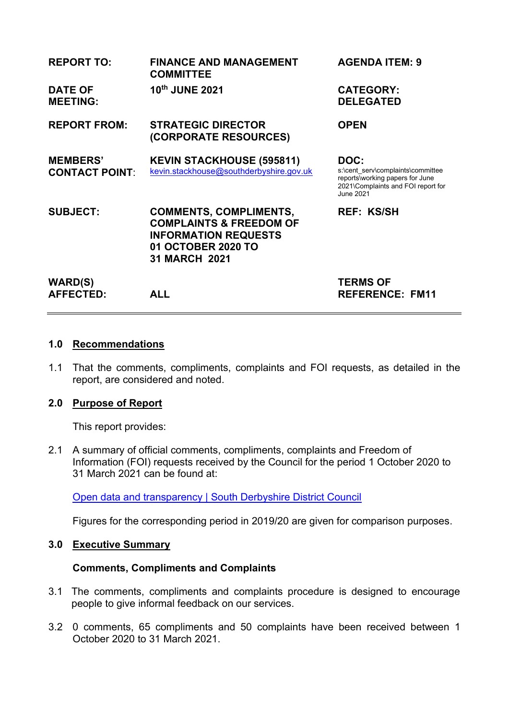| <b>REPORT TO:</b>                        | <b>FINANCE AND MANAGEMENT</b><br><b>COMMITTEE</b>                                                                                                | <b>AGENDA ITEM: 9</b>                                                                                                           |
|------------------------------------------|--------------------------------------------------------------------------------------------------------------------------------------------------|---------------------------------------------------------------------------------------------------------------------------------|
| <b>DATE OF</b><br><b>MEETING:</b>        | 10th JUNE 2021                                                                                                                                   | <b>CATEGORY:</b><br><b>DELEGATED</b>                                                                                            |
| <b>REPORT FROM:</b>                      | <b>STRATEGIC DIRECTOR</b><br>(CORPORATE RESOURCES)                                                                                               | <b>OPEN</b>                                                                                                                     |
| <b>MEMBERS'</b><br><b>CONTACT POINT:</b> | <b>KEVIN STACKHOUSE (595811)</b><br>kevin.stackhouse@southderbyshire.gov.uk                                                                      | DOC:<br>s:\cent serv\complaints\committee<br>reports\working papers for June<br>2021\Complaints and FOI report for<br>June 2021 |
| <b>SUBJECT:</b>                          | <b>COMMENTS, COMPLIMENTS,</b><br><b>COMPLAINTS &amp; FREEDOM OF</b><br><b>INFORMATION REQUESTS</b><br>01 OCTOBER 2020 TO<br><b>31 MARCH 2021</b> | <b>REF: KS/SH</b>                                                                                                               |
| <b>WARD(S)</b><br><b>AFFECTED:</b>       | <b>ALL</b>                                                                                                                                       | <b>TERMS OF</b><br><b>REFERENCE: FM11</b>                                                                                       |

## **1.0 Recommendations**

1.1 That the comments, compliments, complaints and FOI requests, as detailed in the report, are considered and noted.

# **2.0 Purpose of Report**

This report provides:

2.1 A summary of official comments, compliments, complaints and Freedom of Information (FOI) requests received by the Council for the period 1 October 2020 to 31 March 2021 can be found at:

[Open data and transparency | South Derbyshire District Council](https://www.southderbyshire.gov.uk/about-us/open-data-and-transparency)

Figures for the corresponding period in 2019/20 are given for comparison purposes.

# **3.0 Executive Summary**

# **Comments, Compliments and Complaints**

- 3.1 The comments, compliments and complaints procedure is designed to encourage people to give informal feedback on our services.
- 3.2 0 comments, 65 compliments and 50 complaints have been received between 1 October 2020 to 31 March 2021.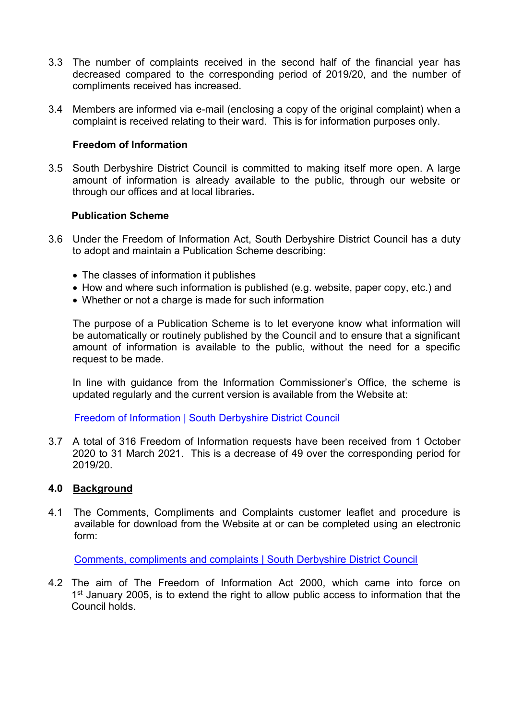- 3.3 The number of complaints received in the second half of the financial year has decreased compared to the corresponding period of 2019/20, and the number of compliments received has increased.
- 3.4 Members are informed via e-mail (enclosing a copy of the original complaint) when a complaint is received relating to their ward. This is for information purposes only.

# **Freedom of Information**

3.5 South Derbyshire District Council is committed to making itself more open. A large amount of information is already available to the public, through our website or through our offices and at local libraries**.** 

### **Publication Scheme**

- 3.6 Under the Freedom of Information Act, South Derbyshire District Council has a duty to adopt and maintain a Publication Scheme describing:
	- The classes of information it publishes
	- How and where such information is published (e.g. website, paper copy, etc.) and
	- Whether or not a charge is made for such information

 The purpose of a Publication Scheme is to let everyone know what information will be automatically or routinely published by the Council and to ensure that a significant amount of information is available to the public, without the need for a specific request to be made.

In line with guidance from the Information Commissioner's Office, the scheme is updated regularly and the current version is available from the Website at:

[Freedom of Information | South Derbyshire District Council](https://www.southderbyshire.gov.uk/about-us/freedom-of-information)

3.7 A total of 316 Freedom of Information requests have been received from 1 October 2020 to 31 March 2021. This is a decrease of 49 over the corresponding period for 2019/20.

#### **4.0 Background**

4.1 The Comments, Compliments and Complaints customer leaflet and procedure is available for download from the Website at or can be completed using an electronic form:

[Comments, compliments and complaints | South Derbyshire District Council](https://www.southderbyshire.gov.uk/about-us/have-your-say/comments-compliments-and-complaints)

4.2 The aim of The Freedom of Information Act 2000, which came into force on 1<sup>st</sup> January 2005, is to extend the right to allow public access to information that the Council holds.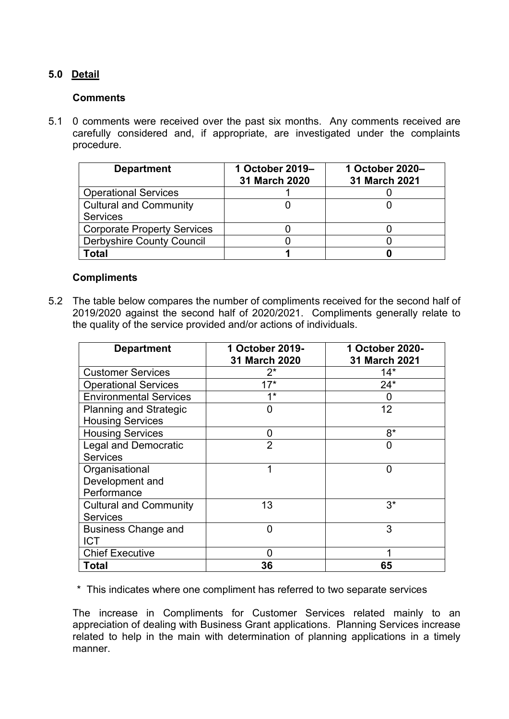# **5.0 Detail**

# **Comments**

5.1 0 comments were received over the past six months. Any comments received are carefully considered and, if appropriate, are investigated under the complaints procedure.

| <b>Department</b>                  | 1 October 2019-<br>31 March 2020 | 1 October 2020-<br>31 March 2021 |
|------------------------------------|----------------------------------|----------------------------------|
| <b>Operational Services</b>        |                                  |                                  |
| <b>Cultural and Community</b>      |                                  |                                  |
| <b>Services</b>                    |                                  |                                  |
| <b>Corporate Property Services</b> |                                  |                                  |
| <b>Derbyshire County Council</b>   |                                  |                                  |
| Total                              |                                  |                                  |

# **Compliments**

5.2 The table below compares the number of compliments received for the second half of 2019/2020 against the second half of 2020/2021. Compliments generally relate to the quality of the service provided and/or actions of individuals.

| <b>Department</b>             | 1 October 2019-<br>31 March 2020 | 1 October 2020-<br>31 March 2021 |
|-------------------------------|----------------------------------|----------------------------------|
| <b>Customer Services</b>      | $2^*$                            | $14*$                            |
| <b>Operational Services</b>   | $17*$                            | $24*$                            |
| <b>Environmental Services</b> | $4*$                             | 0                                |
| <b>Planning and Strategic</b> | $\Omega$                         | 12                               |
| <b>Housing Services</b>       |                                  |                                  |
| <b>Housing Services</b>       | 0                                | 8*                               |
| <b>Legal and Democratic</b>   | $\overline{2}$                   | 0                                |
| <b>Services</b>               |                                  |                                  |
| Organisational                |                                  | 0                                |
| Development and               |                                  |                                  |
| Performance                   |                                  |                                  |
| <b>Cultural and Community</b> | 13                               | $3^*$                            |
| <b>Services</b>               |                                  |                                  |
| <b>Business Change and</b>    | 0                                | 3                                |
| <b>ICT</b>                    |                                  |                                  |
| <b>Chief Executive</b>        | O                                |                                  |
| Total                         | 36                               | 65                               |

\* This indicates where one compliment has referred to two separate services

 The increase in Compliments for Customer Services related mainly to an appreciation of dealing with Business Grant applications. Planning Services increase related to help in the main with determination of planning applications in a timely manner.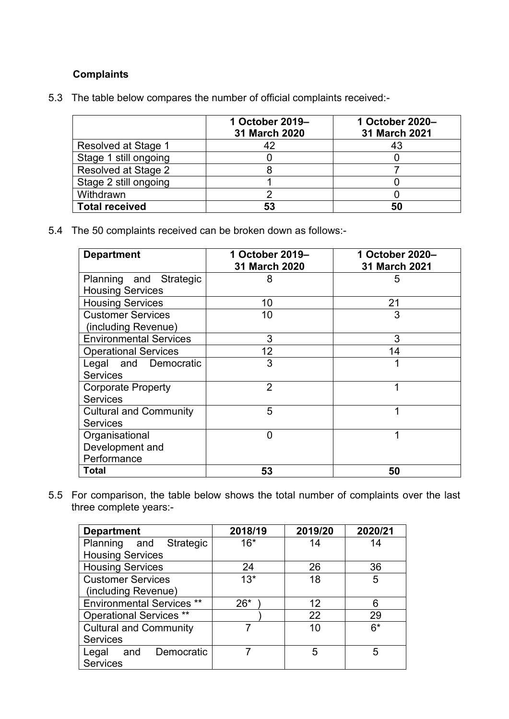# **Complaints**

| 5.3 The table below compares the number of official complaints received:- |  |  |  |
|---------------------------------------------------------------------------|--|--|--|
|                                                                           |  |  |  |

|                       | 1 October 2019-<br>31 March 2020 | 1 October 2020-<br>31 March 2021 |
|-----------------------|----------------------------------|----------------------------------|
| Resolved at Stage 1   | 42                               | 43                               |
| Stage 1 still ongoing |                                  |                                  |
| Resolved at Stage 2   |                                  |                                  |
| Stage 2 still ongoing |                                  |                                  |
| Withdrawn             |                                  |                                  |
| <b>Total received</b> | 53                               | 50                               |

5.4 The 50 complaints received can be broken down as follows:-

| <b>Department</b>             | 1 October 2019-<br>31 March 2020 | 1 October 2020-<br>31 March 2021 |
|-------------------------------|----------------------------------|----------------------------------|
| Planning and Strategic        | 8                                | 5                                |
| <b>Housing Services</b>       |                                  |                                  |
| <b>Housing Services</b>       | 10                               | 21                               |
| <b>Customer Services</b>      | 10                               | 3                                |
| (including Revenue)           |                                  |                                  |
| <b>Environmental Services</b> | 3                                | 3                                |
| <b>Operational Services</b>   | 12                               | 14                               |
| Legal and Democratic          | 3                                |                                  |
| <b>Services</b>               |                                  |                                  |
| <b>Corporate Property</b>     | $\overline{2}$                   | 1                                |
| <b>Services</b>               |                                  |                                  |
| <b>Cultural and Community</b> | 5                                |                                  |
| <b>Services</b>               |                                  |                                  |
| Organisational                | 0                                | 1                                |
| Development and               |                                  |                                  |
| Performance                   |                                  |                                  |
| <b>Total</b>                  | 53                               | 50                               |

5.5 For comparison, the table below shows the total number of complaints over the last three complete years:-

| <b>Department</b>                | 2018/19 | 2019/20 | 2020/21 |
|----------------------------------|---------|---------|---------|
| Planning and Strategic           | $16*$   | 14      | 14      |
| <b>Housing Services</b>          |         |         |         |
| <b>Housing Services</b>          | 24      | 26      | 36      |
| <b>Customer Services</b>         | $13*$   | 18      | 5       |
| (including Revenue)              |         |         |         |
| <b>Environmental Services **</b> | $26*$   | 12      | 6       |
| <b>Operational Services **</b>   |         | 22      | 29      |
| <b>Cultural and Community</b>    |         | 10      | $6*$    |
| <b>Services</b>                  |         |         |         |
| and Democratic<br>Legal          |         | 5       | 5       |
| <b>Services</b>                  |         |         |         |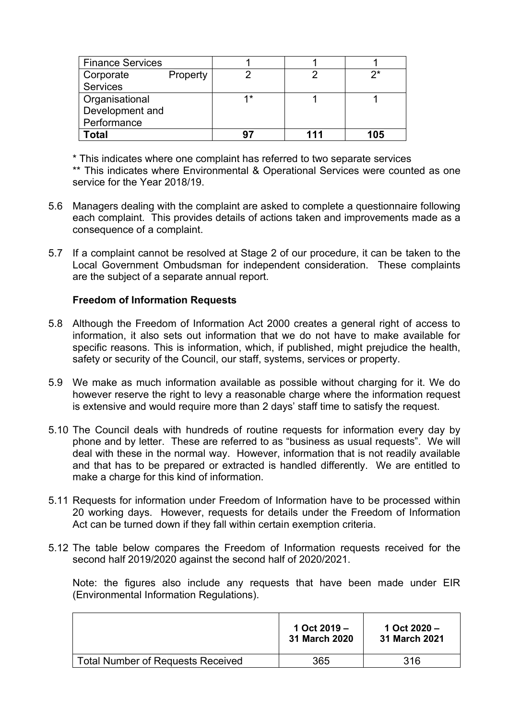| <b>Finance Services</b> |          |     |     |     |
|-------------------------|----------|-----|-----|-----|
| Corporate               | Property |     |     | ク*  |
| <b>Services</b>         |          |     |     |     |
| Organisational          |          | 4*  |     |     |
| Development and         |          |     |     |     |
| Performance             |          |     |     |     |
| Total                   |          | -97 | 111 | 105 |

\* This indicates where one complaint has referred to two separate services \*\* This indicates where Environmental & Operational Services were counted as one service for the Year 2018/19.

- 5.6 Managers dealing with the complaint are asked to complete a questionnaire following each complaint. This provides details of actions taken and improvements made as a consequence of a complaint.
- 5.7 If a complaint cannot be resolved at Stage 2 of our procedure, it can be taken to the Local Government Ombudsman for independent consideration. These complaints are the subject of a separate annual report.

# **Freedom of Information Requests**

- 5.8 Although the Freedom of Information Act 2000 creates a general right of access to information, it also sets out information that we do not have to make available for specific reasons. This is information, which, if published, might prejudice the health, safety or security of the Council, our staff, systems, services or property.
- 5.9 We make as much information available as possible without charging for it. We do however reserve the right to levy a reasonable charge where the information request is extensive and would require more than 2 days' staff time to satisfy the request.
- 5.10 The Council deals with hundreds of routine requests for information every day by phone and by letter. These are referred to as "business as usual requests". We will deal with these in the normal way. However, information that is not readily available and that has to be prepared or extracted is handled differently. We are entitled to make a charge for this kind of information.
- 5.11 Requests for information under Freedom of Information have to be processed within 20 working days. However, requests for details under the Freedom of Information Act can be turned down if they fall within certain exemption criteria.
- 5.12 The table below compares the Freedom of Information requests received for the second half 2019/2020 against the second half of 2020/2021.

 Note: the figures also include any requests that have been made under EIR (Environmental Information Regulations).

|                                          | 1 Oct $2019 -$<br>31 March 2020 | 1 Oct $2020 -$<br>31 March 2021 |
|------------------------------------------|---------------------------------|---------------------------------|
| <b>Total Number of Requests Received</b> | 365                             | 316                             |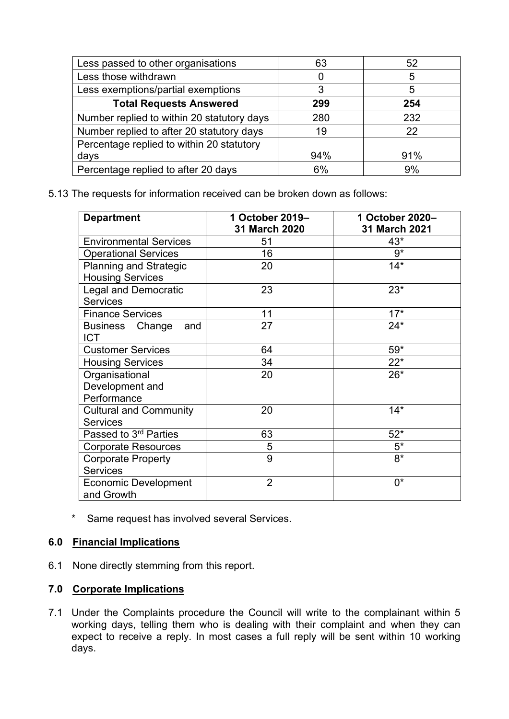| Less passed to other organisations         | 63  | 52  |
|--------------------------------------------|-----|-----|
| Less those withdrawn                       |     | 5   |
| Less exemptions/partial exemptions         | 3   | 5   |
| <b>Total Requests Answered</b>             | 299 | 254 |
| Number replied to within 20 statutory days | 280 | 232 |
| Number replied to after 20 statutory days  | 19  | 22  |
| Percentage replied to within 20 statutory  |     |     |
| days                                       | 94% | 91% |
| Percentage replied to after 20 days        | 6%  | 9%  |

5.13 The requests for information received can be broken down as follows:

| <b>Department</b>                  | 1 October 2019-<br>31 March 2020 | 1 October 2020-<br>31 March 2021 |
|------------------------------------|----------------------------------|----------------------------------|
| <b>Environmental Services</b>      | 51                               | 43*                              |
| <b>Operational Services</b>        | 16                               | $9*$                             |
| <b>Planning and Strategic</b>      | 20                               | $14*$                            |
| <b>Housing Services</b>            |                                  |                                  |
| <b>Legal and Democratic</b>        | 23                               | $23*$                            |
| <b>Services</b>                    |                                  |                                  |
| <b>Finance Services</b>            | 11                               | $17*$                            |
| Business Change<br>and             | 27                               | $24*$                            |
| <b>ICT</b>                         |                                  |                                  |
| <b>Customer Services</b>           | 64                               | $59*$                            |
| <b>Housing Services</b>            | 34                               | $22*$                            |
| Organisational                     | 20                               | $26*$                            |
| Development and                    |                                  |                                  |
| Performance                        |                                  |                                  |
| <b>Cultural and Community</b>      | 20                               | $14*$                            |
| <b>Services</b>                    |                                  |                                  |
| Passed to 3rd Parties              | 63                               | $52*$                            |
| <b>Corporate Resources</b>         | 5                                | $5^*$                            |
| <b>Corporate Property</b>          | 9                                | $8*$                             |
| <b>Services</b>                    |                                  |                                  |
| Economic Development<br>and Growth | $\overline{2}$                   | $0^*$                            |

\* Same request has involved several Services.

# **6.0 Financial Implications**

6.1 None directly stemming from this report.

# **7.0 Corporate Implications**

7.1 Under the Complaints procedure the Council will write to the complainant within 5 working days, telling them who is dealing with their complaint and when they can expect to receive a reply. In most cases a full reply will be sent within 10 working days.